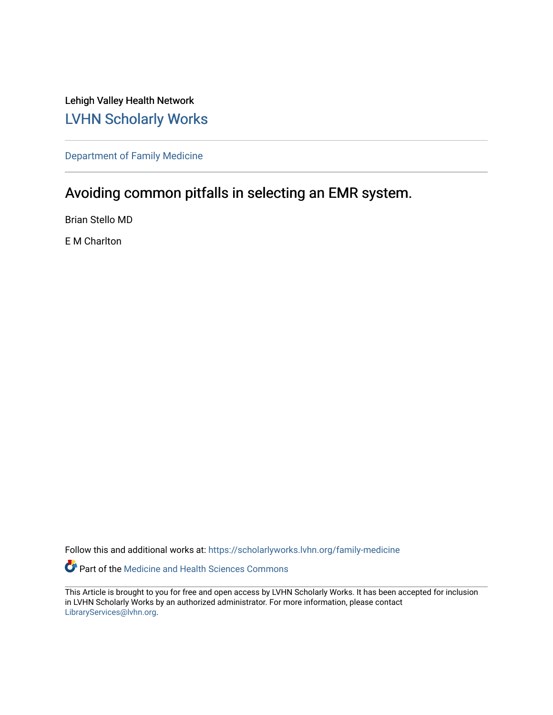Lehigh Valley Health Network [LVHN Scholarly Works](https://scholarlyworks.lvhn.org/)

[Department of Family Medicine](https://scholarlyworks.lvhn.org/family-medicine) 

## Avoiding common pitfalls in selecting an EMR system.

Brian Stello MD

E M Charlton

Follow this and additional works at: [https://scholarlyworks.lvhn.org/family-medicine](https://scholarlyworks.lvhn.org/family-medicine?utm_source=scholarlyworks.lvhn.org%2Ffamily-medicine%2F763&utm_medium=PDF&utm_campaign=PDFCoverPages) 

Part of the [Medicine and Health Sciences Commons](http://network.bepress.com/hgg/discipline/648?utm_source=scholarlyworks.lvhn.org%2Ffamily-medicine%2F763&utm_medium=PDF&utm_campaign=PDFCoverPages) 

This Article is brought to you for free and open access by LVHN Scholarly Works. It has been accepted for inclusion in LVHN Scholarly Works by an authorized administrator. For more information, please contact [LibraryServices@lvhn.org](mailto:LibraryServices@lvhn.org).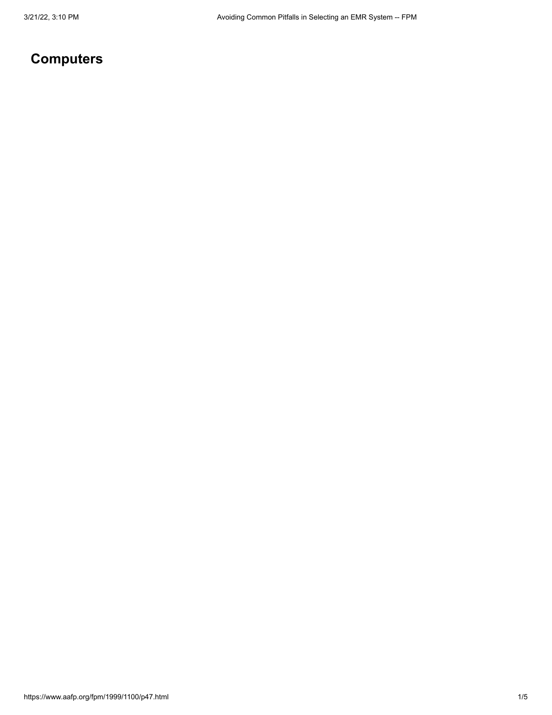# **Computers**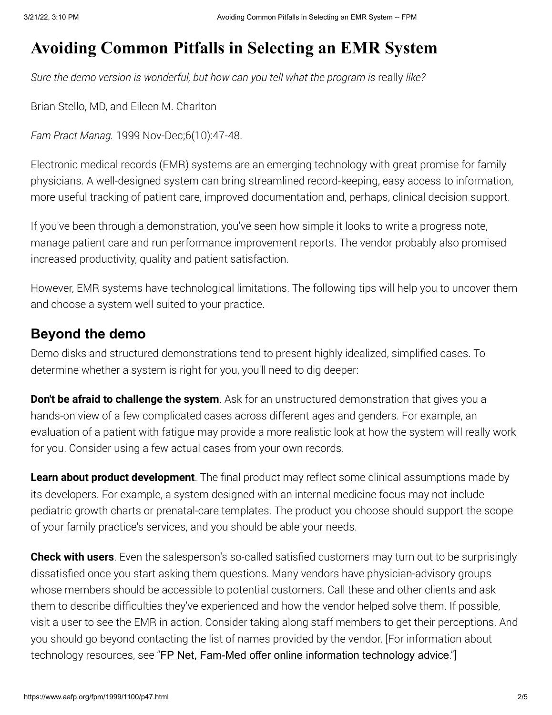# **Avoiding Common Pitfalls in Selecting an EMR System**

*Sure the demo version is wonderful, but how can you tell what the program is* really *like?*

Brian Stello, MD, and Eileen M. Charlton

*Fam Pract Manag.* 1999 Nov-Dec;6(10):47-48.

Electronic medical records (EMR) systems are an emerging technology with great promise for family physicians. A well-designed system can bring streamlined record-keeping, easy access to information, more useful tracking of patient care, improved documentation and, perhaps, clinical decision support.

If you've been through a demonstration, you've seen how simple it looks to write a progress note, manage patient care and run performance improvement reports. The vendor probably also promised increased productivity, quality and patient satisfaction.

However, EMR systems have technological limitations. The following tips will help you to uncover them and choose a system well suited to your practice.

#### **Beyond the demo**

Demo disks and structured demonstrations tend to present highly idealized, simplified cases. To determine whether a system is right for you, you'll need to dig deeper:

**Don't be afraid to challenge the system**. Ask for an unstructured demonstration that gives you a hands-on view of a few complicated cases across different ages and genders. For example, an evaluation of a patient with fatigue may provide a more realistic look at how the system will really work for you. Consider using a few actual cases from your own records.

**Learn about product development**. The final product may reflect some clinical assumptions made by its developers. For example, a system designed with an internal medicine focus may not include pediatric growth charts or prenatal-care templates. The product you choose should support the scope of your family practice's services, and you should be able your needs.

**Check with users**. Even the salesperson's so-called satisfied customers may turn out to be surprisingly dissatisfied once you start asking them questions. Many vendors have physician-advisory groups whose members should be accessible to potential customers. Call these and other clients and ask them to describe difficulties they've experienced and how the vendor helped solve them. If possible, visit a user to see the EMR in action. Consider taking along staff members to get their perceptions. And you should go beyond contacting the list of names provided by the vendor. [For information about technology resources, see "**[FP Net, Fam-Med offer online information technology advice](#page-3-0)**."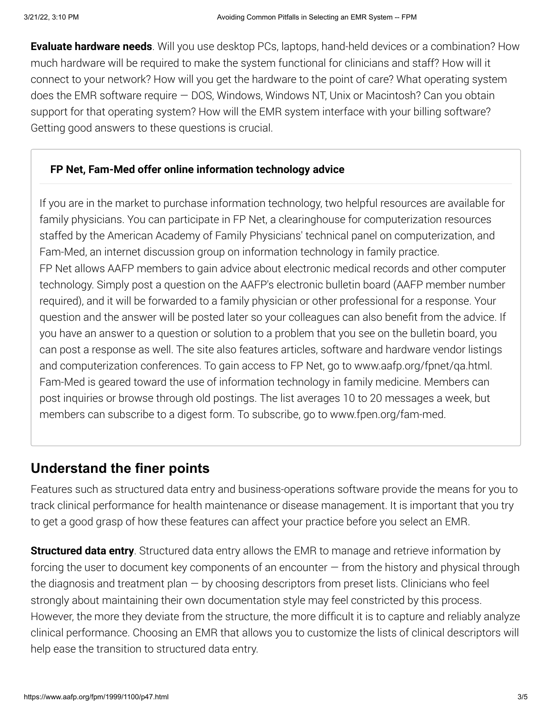**Evaluate hardware needs**. Will you use desktop PCs, laptops, hand-held devices or a combination? How much hardware will be required to make the system functional for clinicians and staff? How will it connect to your network? How will you get the hardware to the point of care? What operating system does the EMR software require — DOS, Windows, Windows NT, Unix or Macintosh? Can you obtain support for that operating system? How will the EMR system interface with your billing software? Getting good answers to these questions is crucial.

#### <span id="page-3-0"></span>**FP Net, Fam-Med offer online information technology advice**

If you are in the market to purchase information technology, two helpful resources are available for family physicians. You can participate in FP Net, a clearinghouse for computerization resources staffed by the American Academy of Family Physicians' technical panel on computerization, and Fam-Med, an internet discussion group on information technology in family practice. FP Net allows AAFP members to gain advice about electronic medical records and other computer technology. Simply post a question on the AAFP's electronic bulletin board (AAFP member number required), and it will be forwarded to a family physician or other professional for a response. Your question and the answer will be posted later so your colleagues can also benefit from the advice. If you have an answer to a question or solution to a problem that you see on the bulletin board, you can post a response as well. The site also features articles, software and hardware vendor listings and computerization conferences. To gain access to FP Net, go to www.aafp.org/fpnet/qa.html. Fam-Med is geared toward the use of information technology in family medicine. Members can post inquiries or browse through old postings. The list averages 10 to 20 messages a week, but members can subscribe to a digest form. To subscribe, go to www.fpen.org/fam-med.

## **Understand the finer points**

Features such as structured data entry and business-operations software provide the means for you to track clinical performance for health maintenance or disease management. It is important that you try to get a good grasp of how these features can affect your practice before you select an EMR.

**Structured data entry**. Structured data entry allows the EMR to manage and retrieve information by forcing the user to document key components of an encounter  $-$  from the history and physical through the diagnosis and treatment plan — by choosing descriptors from preset lists. Clinicians who feel strongly about maintaining their own documentation style may feel constricted by this process. However, the more they deviate from the structure, the more difficult it is to capture and reliably analyze clinical performance. Choosing an EMR that allows you to customize the lists of clinical descriptors will help ease the transition to structured data entry.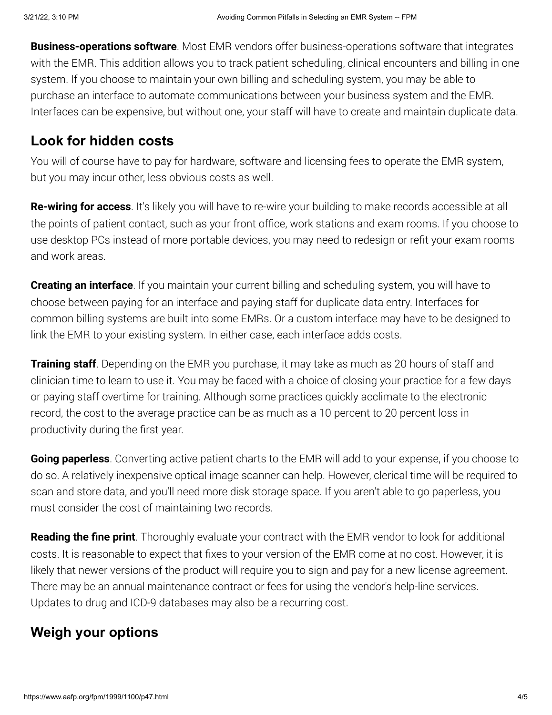**Business-operations software**. Most EMR vendors offer business-operations software that integrates with the EMR. This addition allows you to track patient scheduling, clinical encounters and billing in one system. If you choose to maintain your own billing and scheduling system, you may be able to purchase an interface to automate communications between your business system and the EMR. Interfaces can be expensive, but without one, your staff will have to create and maintain duplicate data.

### **Look for hidden costs**

You will of course have to pay for hardware, software and licensing fees to operate the EMR system, but you may incur other, less obvious costs as well.

**Re-wiring for access**. It's likely you will have to re-wire your building to make records accessible at all the points of patient contact, such as your front office, work stations and exam rooms. If you choose to use desktop PCs instead of more portable devices, you may need to redesign or refit your exam rooms and work areas.

**Creating an interface**. If you maintain your current billing and scheduling system, you will have to choose between paying for an interface and paying staff for duplicate data entry. Interfaces for common billing systems are built into some EMRs. Or a custom interface may have to be designed to link the EMR to your existing system. In either case, each interface adds costs.

**Training staff**. Depending on the EMR you purchase, it may take as much as 20 hours of staff and clinician time to learn to use it. You may be faced with a choice of closing your practice for a few days or paying staff overtime for training. Although some practices quickly acclimate to the electronic record, the cost to the average practice can be as much as a 10 percent to 20 percent loss in productivity during the first year.

**Going paperless**. Converting active patient charts to the EMR will add to your expense, if you choose to do so. A relatively inexpensive optical image scanner can help. However, clerical time will be required to scan and store data, and you'll need more disk storage space. If you aren't able to go paperless, you must consider the cost of maintaining two records.

**Reading the fine print**. Thoroughly evaluate your contract with the EMR vendor to look for additional costs. It is reasonable to expect that fixes to your version of the EMR come at no cost. However, it is likely that newer versions of the product will require you to sign and pay for a new license agreement. There may be an annual maintenance contract or fees for using the vendor's help-line services. Updates to drug and ICD-9 databases may also be a recurring cost.

# **Weigh your options**